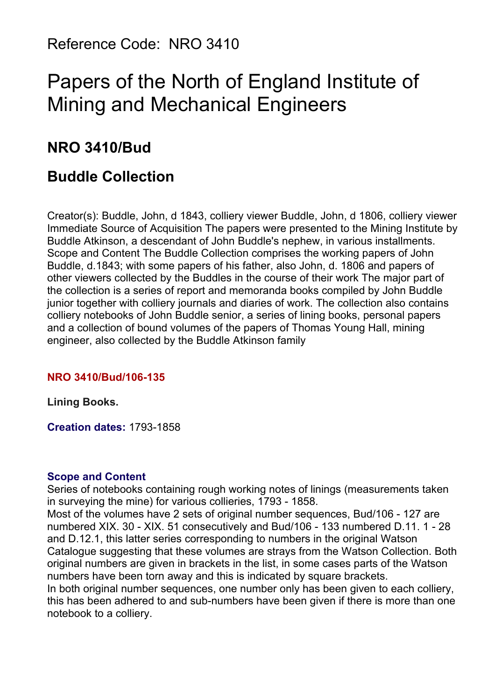# Papers of the North of England Institute of Mining and Mechanical Engineers

## **NRO 3410/Bud**

## **Buddle Collection**

Creator(s): Buddle, John, d 1843, colliery viewer Buddle, John, d 1806, colliery viewer Immediate Source of Acquisition The papers were presented to the Mining Institute by Buddle Atkinson, a descendant of John Buddle's nephew, in various installments. Scope and Content The Buddle Collection comprises the working papers of John Buddle, d.1843; with some papers of his father, also John, d. 1806 and papers of other viewers collected by the Buddles in the course of their work The major part of the collection is a series of report and memoranda books compiled by John Buddle junior together with colliery journals and diaries of work. The collection also contains colliery notebooks of John Buddle senior, a series of lining books, personal papers and a collection of bound volumes of the papers of Thomas Young Hall, mining engineer, also collected by the Buddle Atkinson family

#### **NRO 3410/Bud/106-135**

**Lining Books.**

**Creation dates:** 1793-1858

#### **Scope and Content**

Series of notebooks containing rough working notes of linings (measurements taken in surveying the mine) for various collieries, 1793 - 1858.

Most of the volumes have 2 sets of original number sequences, Bud/106 - 127 are numbered XIX. 30 - XIX. 51 consecutively and Bud/106 - 133 numbered D.11. 1 - 28 and D.12.1, this latter series corresponding to numbers in the original Watson Catalogue suggesting that these volumes are strays from the Watson Collection. Both original numbers are given in brackets in the list, in some cases parts of the Watson numbers have been torn away and this is indicated by square brackets.

In both original number sequences, one number only has been given to each colliery, this has been adhered to and sub-numbers have been given if there is more than one notebook to a colliery.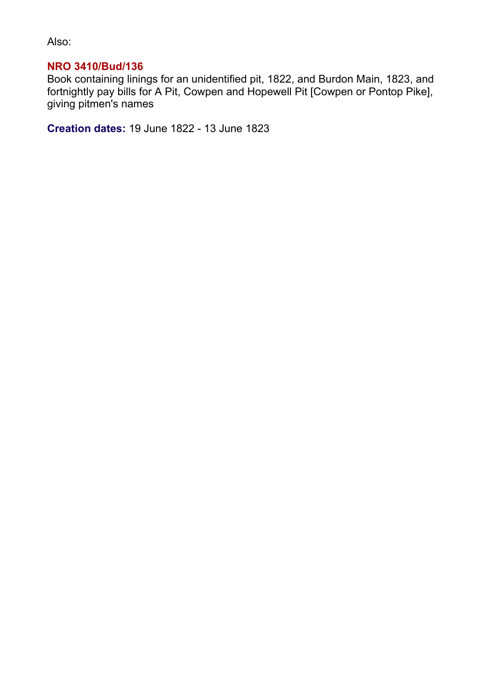Also:

#### **NRO 3410/Bud/136**

Book containing linings for an unidentified pit, 1822, and Burdon Main, 1823, and fortnightly pay bills for A Pit, Cowpen and Hopewell Pit [Cowpen or Pontop Pike], giving pitmen's names

**Creation dates:** 19 June 1822 - 13 June 1823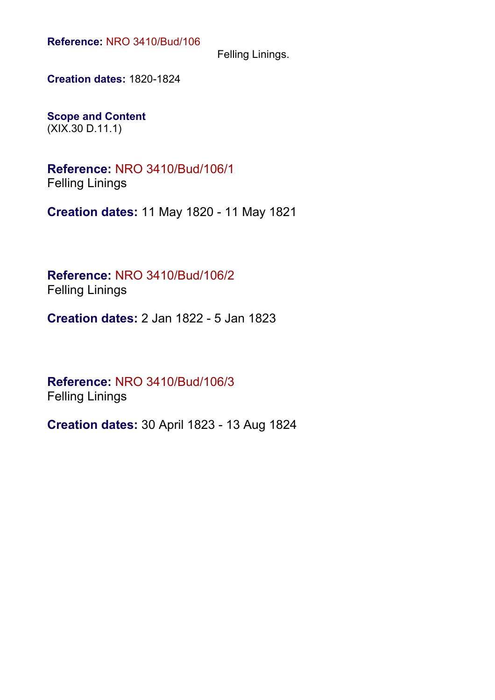Felling Linings.

**Creation dates:** 1820-1824

**Scope and Content** (XIX.30 D.11.1)

**Reference:** NRO 3410/Bud/106/1 Felling Linings

**Creation dates:** 11 May 1820 - 11 May 1821

**Reference:** NRO 3410/Bud/106/2 Felling Linings

**Creation dates:** 2 Jan 1822 - 5 Jan 1823

**Reference:** NRO 3410/Bud/106/3 Felling Linings

**Creation dates:** 30 April 1823 - 13 Aug 1824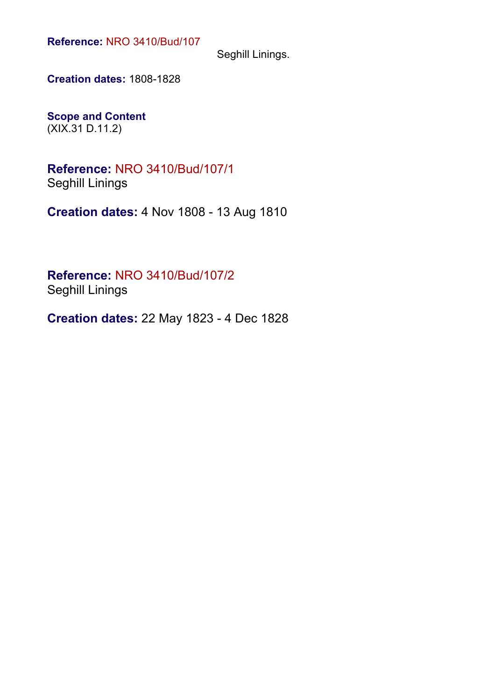Seghill Linings.

**Creation dates:** 1808-1828

**Scope and Content** (XIX.31 D.11.2)

**Reference:** NRO 3410/Bud/107/1 Seghill Linings

**Creation dates:** 4 Nov 1808 - 13 Aug 1810

**Reference:** NRO 3410/Bud/107/2 Seghill Linings

**Creation dates:** 22 May 1823 - 4 Dec 1828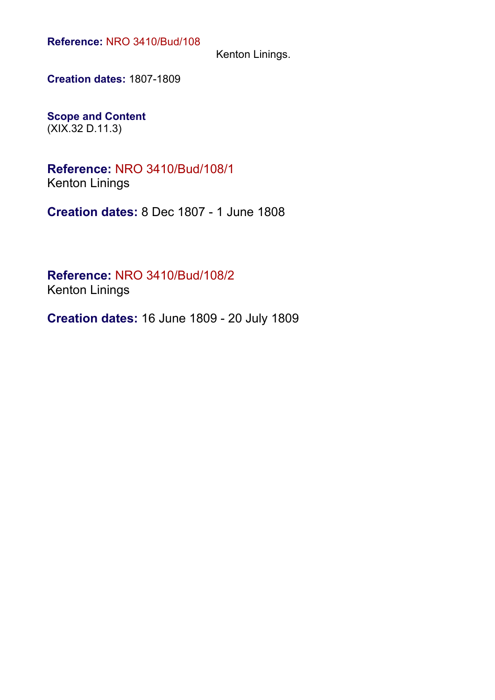Kenton Linings.

**Creation dates:** 1807-1809

**Scope and Content** (XIX.32 D.11.3)

**Reference:** NRO 3410/Bud/108/1 Kenton Linings

**Creation dates:** 8 Dec 1807 - 1 June 1808

**Reference:** NRO 3410/Bud/108/2 Kenton Linings

**Creation dates:** 16 June 1809 - 20 July 1809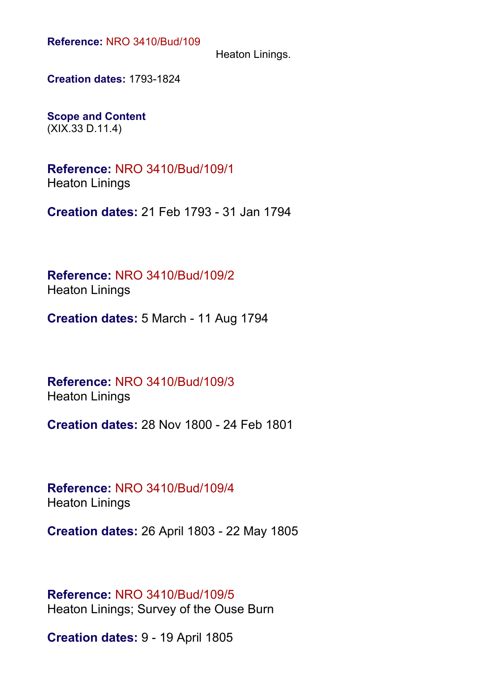Heaton Linings.

**Creation dates:** 1793-1824

**Scope and Content** (XIX.33 D.11.4)

**Reference:** NRO 3410/Bud/109/1 Heaton Linings

**Creation dates:** 21 Feb 1793 - 31 Jan 1794

**Reference:** NRO 3410/Bud/109/2 Heaton Linings

**Creation dates:** 5 March - 11 Aug 1794

**Reference:** NRO 3410/Bud/109/3 Heaton Linings

**Creation dates:** 28 Nov 1800 - 24 Feb 1801

**Reference:** NRO 3410/Bud/109/4 Heaton Linings

**Creation dates:** 26 April 1803 - 22 May 1805

**Reference:** NRO 3410/Bud/109/5 Heaton Linings; Survey of the Ouse Burn

**Creation dates:** 9 - 19 April 1805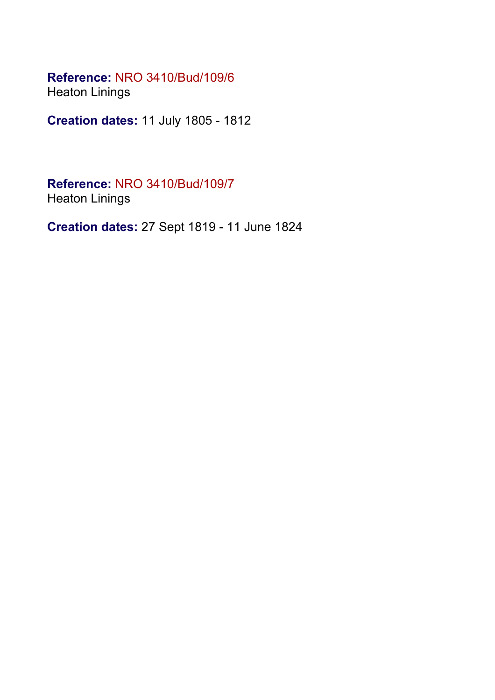#### **Reference:** NRO 3410/Bud/109/6 Heaton Linings

**Creation dates:** 11 July 1805 - 1812

**Reference:** NRO 3410/Bud/109/7 Heaton Linings

**Creation dates:** 27 Sept 1819 - 11 June 1824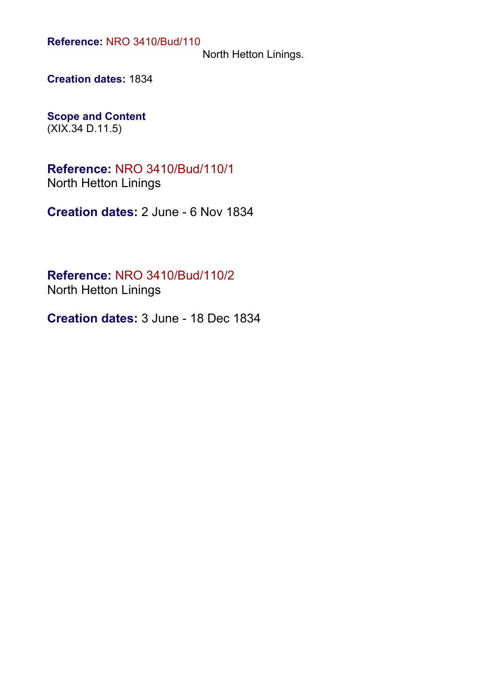North Hetton Linings.

**Creation dates:** 1834

**Scope and Content** (XIX.34 D.11.5)

**Reference:** NRO 3410/Bud/110/1 North Hetton Linings

**Creation dates:** 2 June - 6 Nov 1834

**Reference:** NRO 3410/Bud/110/2 North Hetton Linings

**Creation dates:** 3 June - 18 Dec 1834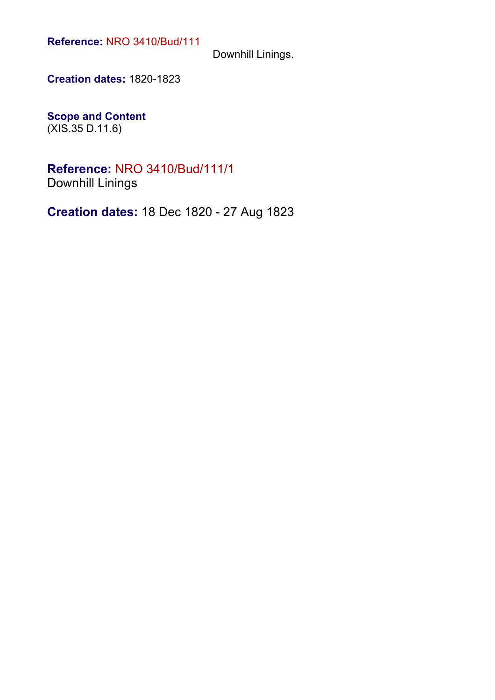Downhill Linings.

**Creation dates:** 1820-1823

**Scope and Content** (XIS.35 D.11.6)

**Reference:** NRO 3410/Bud/111/1 Downhill Linings

**Creation dates:** 18 Dec 1820 - 27 Aug 1823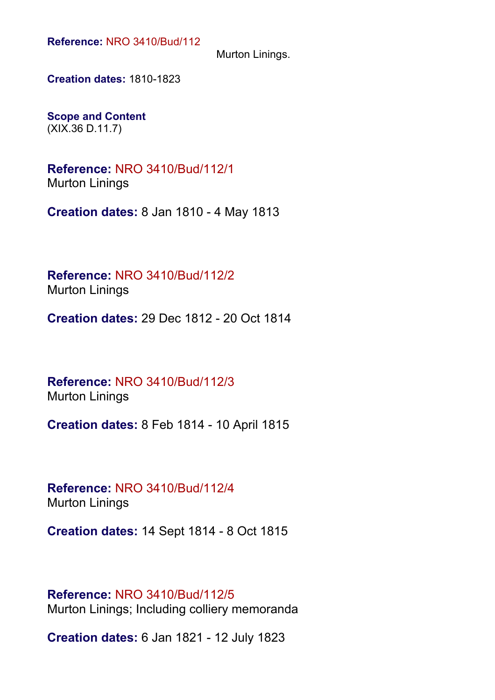Murton Linings.

**Creation dates:** 1810-1823

**Scope and Content** (XIX.36 D.11.7)

**Reference:** NRO 3410/Bud/112/1 Murton Linings

**Creation dates:** 8 Jan 1810 - 4 May 1813

**Reference:** NRO 3410/Bud/112/2 Murton Linings

**Creation dates:** 29 Dec 1812 - 20 Oct 1814

**Reference:** NRO 3410/Bud/112/3 Murton Linings

**Creation dates:** 8 Feb 1814 - 10 April 1815

**Reference:** NRO 3410/Bud/112/4 Murton Linings

**Creation dates:** 14 Sept 1814 - 8 Oct 1815

**Reference:** NRO 3410/Bud/112/5 Murton Linings; Including colliery memoranda

**Creation dates:** 6 Jan 1821 - 12 July 1823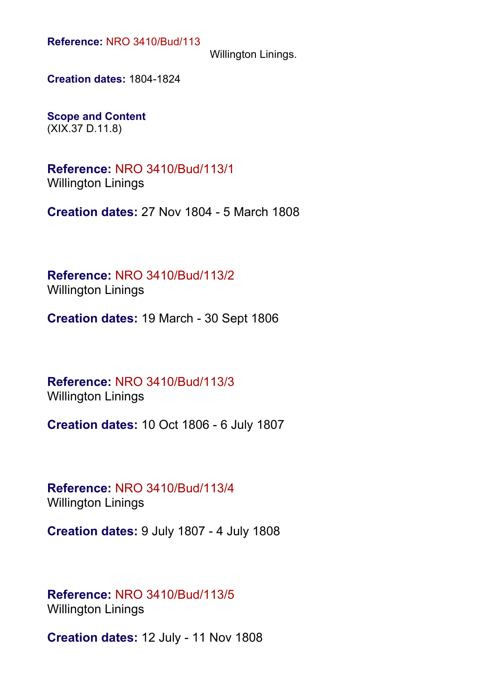Willington Linings.

**Creation dates:** 1804-1824

**Scope and Content** (XIX.37 D.11.8)

**Reference:** NRO 3410/Bud/113/1 Willington Linings

**Creation dates:** 27 Nov 1804 - 5 March 1808

**Reference:** NRO 3410/Bud/113/2 Willington Linings

**Creation dates:** 19 March - 30 Sept 1806

**Reference:** NRO 3410/Bud/113/3 Willington Linings

**Creation dates:** 10 Oct 1806 - 6 July 1807

**Reference:** NRO 3410/Bud/113/4 Willington Linings

**Creation dates:** 9 July 1807 - 4 July 1808

#### **Reference:** NRO 3410/Bud/113/5 Willington Linings

**Creation dates:** 12 July - 11 Nov 1808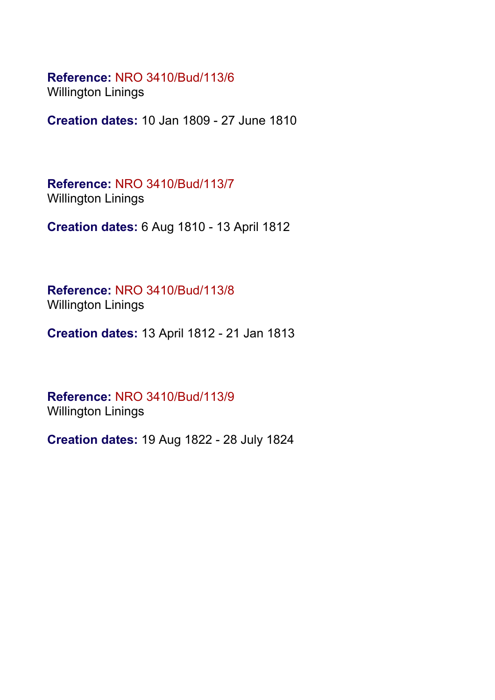**Reference:** NRO 3410/Bud/113/6 Willington Linings

**Creation dates:** 10 Jan 1809 - 27 June 1810

**Reference:** NRO 3410/Bud/113/7 Willington Linings

**Creation dates:** 6 Aug 1810 - 13 April 1812

**Reference:** NRO 3410/Bud/113/8 Willington Linings

**Creation dates:** 13 April 1812 - 21 Jan 1813

**Reference:** NRO 3410/Bud/113/9 Willington Linings

**Creation dates:** 19 Aug 1822 - 28 July 1824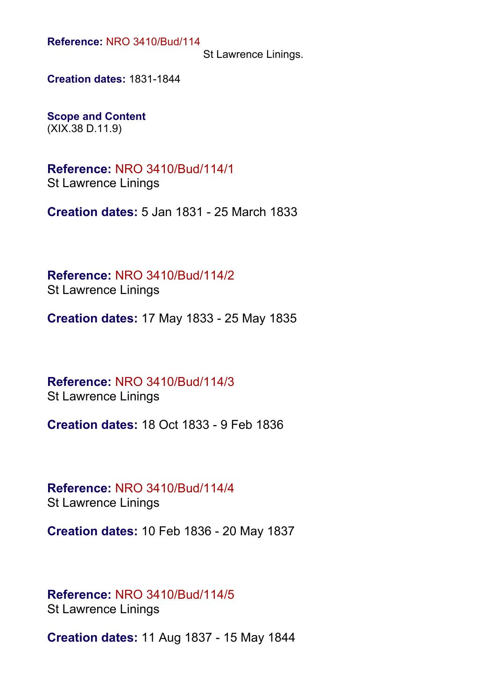St Lawrence Linings.

**Creation dates:** 1831-1844

**Scope and Content** (XIX.38 D.11.9)

**Reference:** NRO 3410/Bud/114/1 St Lawrence Linings

**Creation dates:** 5 Jan 1831 - 25 March 1833

**Reference:** NRO 3410/Bud/114/2 St Lawrence Linings

**Creation dates:** 17 May 1833 - 25 May 1835

**Reference:** NRO 3410/Bud/114/3 St Lawrence Linings

**Creation dates:** 18 Oct 1833 - 9 Feb 1836

**Reference:** NRO 3410/Bud/114/4 St Lawrence Linings

**Creation dates:** 10 Feb 1836 - 20 May 1837

## **Reference:** NRO 3410/Bud/114/5

St Lawrence Linings

**Creation dates:** 11 Aug 1837 - 15 May 1844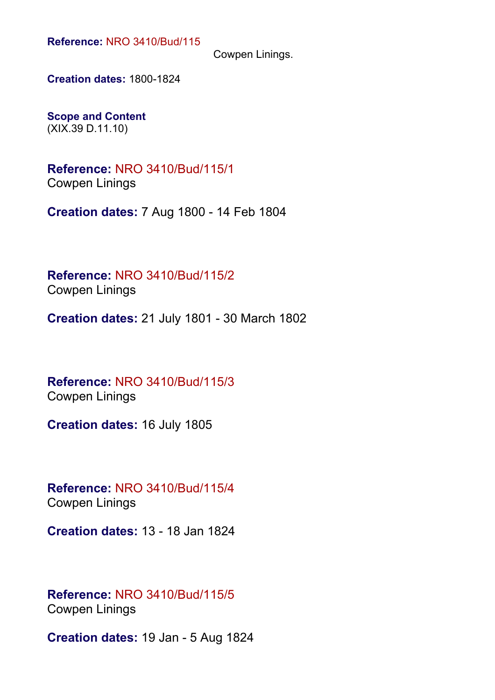Cowpen Linings.

**Creation dates:** 1800-1824

**Scope and Content** (XIX.39 D.11.10)

**Reference:** NRO 3410/Bud/115/1 Cowpen Linings

**Creation dates:** 7 Aug 1800 - 14 Feb 1804

**Reference:** NRO 3410/Bud/115/2 Cowpen Linings

**Creation dates:** 21 July 1801 - 30 March 1802

**Reference:** NRO 3410/Bud/115/3 Cowpen Linings

**Creation dates:** 16 July 1805

**Reference:** NRO 3410/Bud/115/4 Cowpen Linings

**Creation dates:** 13 - 18 Jan 1824

**Reference:** NRO 3410/Bud/115/5 Cowpen Linings

**Creation dates:** 19 Jan - 5 Aug 1824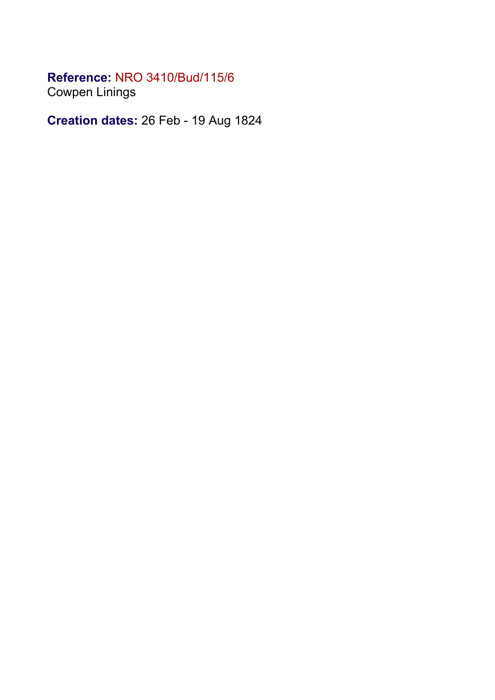Cowpen Linings

**Creation dates:** 26 Feb - 19 Aug 1824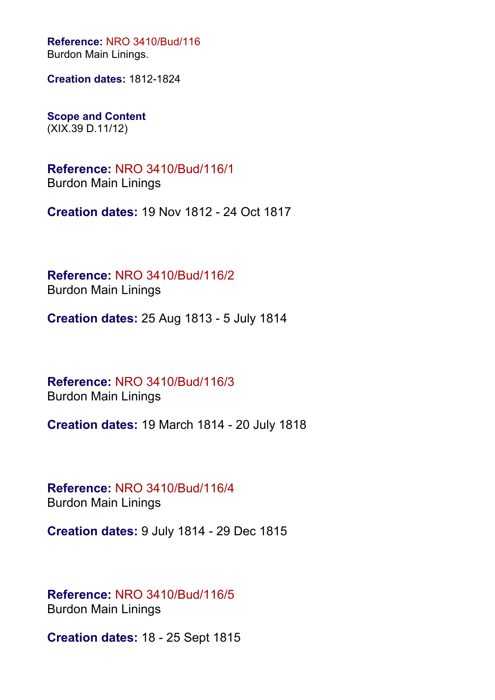**Reference:** NRO 3410/Bud/116 Burdon Main Linings.

**Creation dates:** 1812-1824

**Scope and Content** (XIX.39 D.11/12)

**Reference:** NRO 3410/Bud/116/1 Burdon Main Linings

**Creation dates:** 19 Nov 1812 - 24 Oct 1817

**Reference:** NRO 3410/Bud/116/2 Burdon Main Linings

**Creation dates:** 25 Aug 1813 - 5 July 1814

**Reference:** NRO 3410/Bud/116/3 Burdon Main Linings

**Creation dates:** 19 March 1814 - 20 July 1818

**Reference:** NRO 3410/Bud/116/4 Burdon Main Linings

**Creation dates:** 9 July 1814 - 29 Dec 1815

**Reference:** NRO 3410/Bud/116/5 Burdon Main Linings

**Creation dates:** 18 - 25 Sept 1815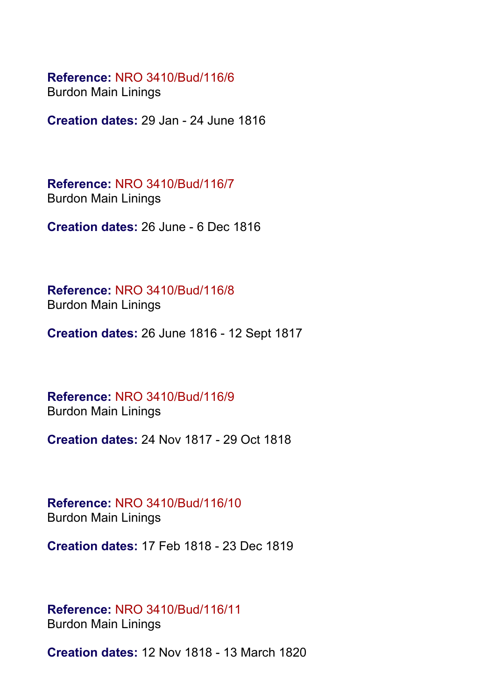Burdon Main Linings

**Creation dates:** 29 Jan - 24 June 1816

**Reference:** NRO 3410/Bud/116/7 Burdon Main Linings

**Creation dates:** 26 June - 6 Dec 1816

**Reference:** NRO 3410/Bud/116/8 Burdon Main Linings

**Creation dates:** 26 June 1816 - 12 Sept 1817

**Reference:** NRO 3410/Bud/116/9 Burdon Main Linings

**Creation dates:** 24 Nov 1817 - 29 Oct 1818

**Reference:** NRO 3410/Bud/116/10 Burdon Main Linings

**Creation dates:** 17 Feb 1818 - 23 Dec 1819

#### **Reference:** NRO 3410/Bud/116/11 Burdon Main Linings

**Creation dates:** 12 Nov 1818 - 13 March 1820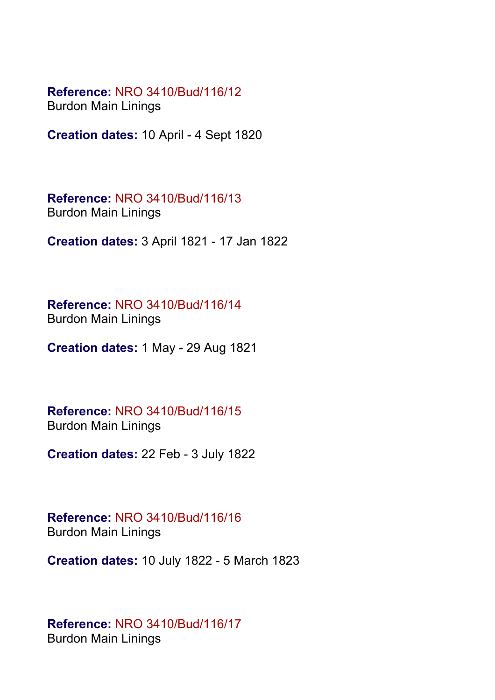Burdon Main Linings

**Creation dates:** 10 April - 4 Sept 1820

**Reference:** NRO 3410/Bud/116/13 Burdon Main Linings

**Creation dates:** 3 April 1821 - 17 Jan 1822

**Reference:** NRO 3410/Bud/116/14 Burdon Main Linings

**Creation dates:** 1 May - 29 Aug 1821

**Reference:** NRO 3410/Bud/116/15 Burdon Main Linings

**Creation dates:** 22 Feb - 3 July 1822

**Reference:** NRO 3410/Bud/116/16 Burdon Main Linings

**Creation dates:** 10 July 1822 - 5 March 1823

#### **Reference:** NRO 3410/Bud/116/17 Burdon Main Linings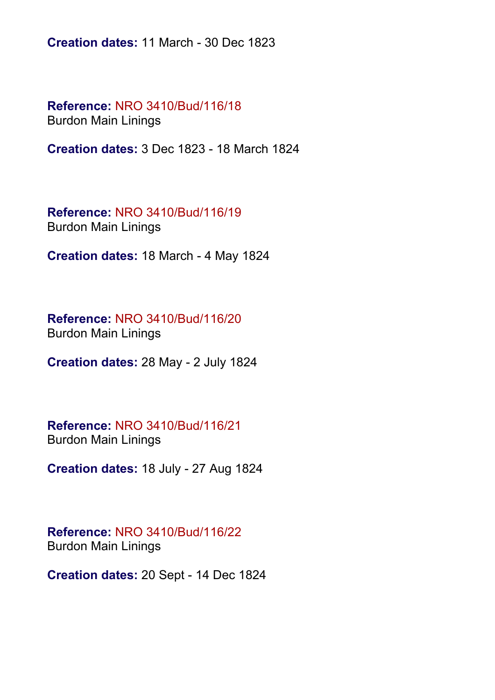**Creation dates:** 11 March - 30 Dec 1823

**Reference:** NRO 3410/Bud/116/18 Burdon Main Linings

**Creation dates:** 3 Dec 1823 - 18 March 1824

**Reference:** NRO 3410/Bud/116/19 Burdon Main Linings

**Creation dates:** 18 March - 4 May 1824

**Reference:** NRO 3410/Bud/116/20 Burdon Main Linings

**Creation dates:** 28 May - 2 July 1824

**Reference:** NRO 3410/Bud/116/21 Burdon Main Linings

**Creation dates:** 18 July - 27 Aug 1824

**Reference:** NRO 3410/Bud/116/22 Burdon Main Linings

**Creation dates:** 20 Sept - 14 Dec 1824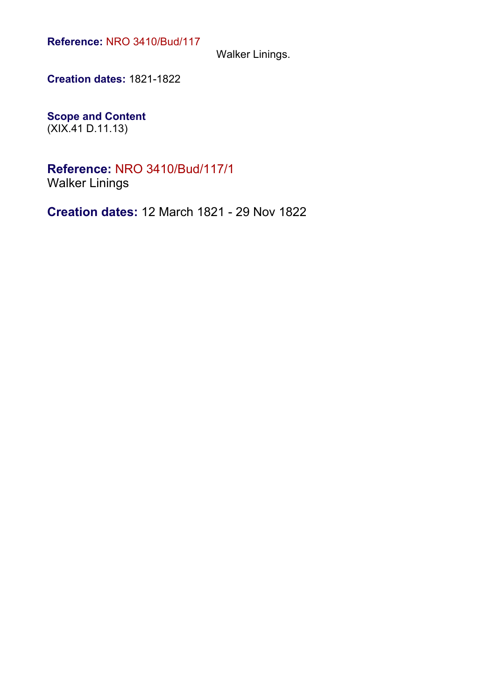Walker Linings.

**Creation dates:** 1821-1822

**Scope and Content** (XIX.41 D.11.13)

**Reference:** NRO 3410/Bud/117/1 Walker Linings

**Creation dates:** 12 March 1821 - 29 Nov 1822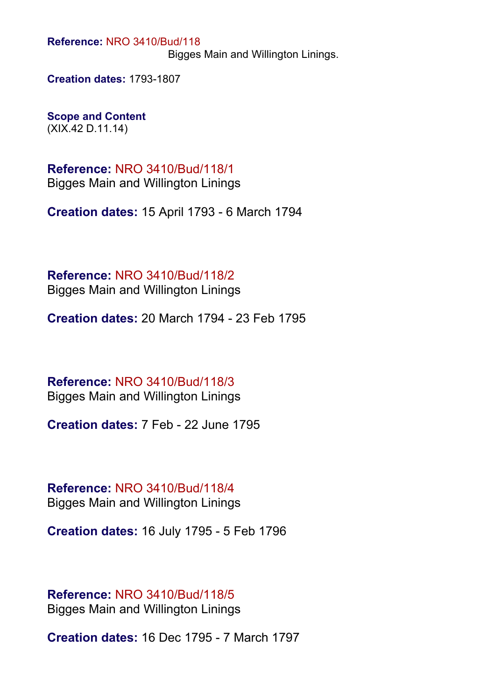Bigges Main and Willington Linings.

**Creation dates:** 1793-1807

**Scope and Content** (XIX.42 D.11.14)

**Reference:** NRO 3410/Bud/118/1 Bigges Main and Willington Linings

**Creation dates:** 15 April 1793 - 6 March 1794

**Reference:** NRO 3410/Bud/118/2 Bigges Main and Willington Linings

**Creation dates:** 20 March 1794 - 23 Feb 1795

**Reference:** NRO 3410/Bud/118/3 Bigges Main and Willington Linings

**Creation dates:** 7 Feb - 22 June 1795

**Reference:** NRO 3410/Bud/118/4 Bigges Main and Willington Linings

**Creation dates:** 16 July 1795 - 5 Feb 1796

**Reference:** NRO 3410/Bud/118/5 Bigges Main and Willington Linings

**Creation dates:** 16 Dec 1795 - 7 March 1797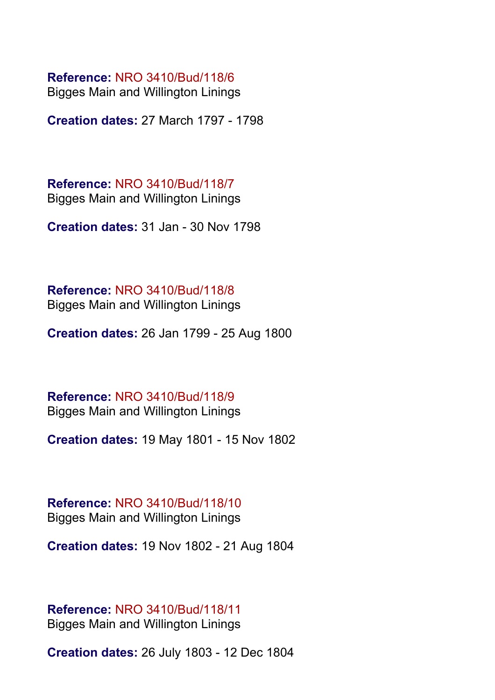Bigges Main and Willington Linings

**Creation dates:** 27 March 1797 - 1798

**Reference:** NRO 3410/Bud/118/7 Bigges Main and Willington Linings

**Creation dates:** 31 Jan - 30 Nov 1798

**Reference:** NRO 3410/Bud/118/8 Bigges Main and Willington Linings

**Creation dates:** 26 Jan 1799 - 25 Aug 1800

**Reference:** NRO 3410/Bud/118/9 Bigges Main and Willington Linings

**Creation dates:** 19 May 1801 - 15 Nov 1802

**Reference:** NRO 3410/Bud/118/10 Bigges Main and Willington Linings

**Creation dates:** 19 Nov 1802 - 21 Aug 1804

**Reference:** NRO 3410/Bud/118/11 Bigges Main and Willington Linings

**Creation dates:** 26 July 1803 - 12 Dec 1804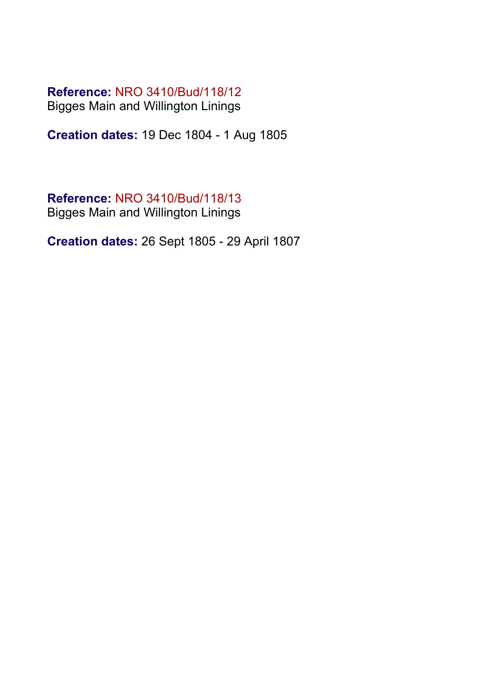Bigges Main and Willington Linings

**Creation dates:** 19 Dec 1804 - 1 Aug 1805

### **Reference:** NRO 3410/Bud/118/13

Bigges Main and Willington Linings

**Creation dates:** 26 Sept 1805 - 29 April 1807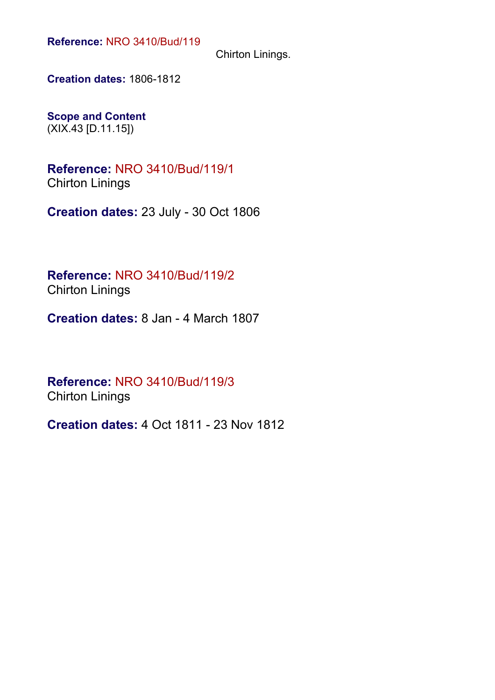Chirton Linings.

**Creation dates:** 1806-1812

**Scope and Content** (XIX.43 [D.11.15])

**Reference:** NRO 3410/Bud/119/1 Chirton Linings

**Creation dates:** 23 July - 30 Oct 1806

**Reference:** NRO 3410/Bud/119/2 Chirton Linings

**Creation dates:** 8 Jan - 4 March 1807

**Reference:** NRO 3410/Bud/119/3 Chirton Linings

**Creation dates:** 4 Oct 1811 - 23 Nov 1812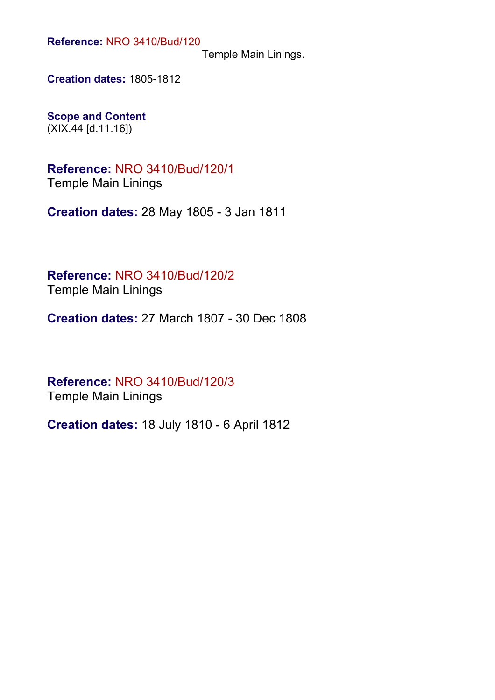Temple Main Linings.

**Creation dates:** 1805-1812

**Scope and Content** (XIX.44 [d.11.16])

**Reference:** NRO 3410/Bud/120/1 Temple Main Linings

**Creation dates:** 28 May 1805 - 3 Jan 1811

**Reference:** NRO 3410/Bud/120/2 Temple Main Linings

**Creation dates:** 27 March 1807 - 30 Dec 1808

**Reference:** NRO 3410/Bud/120/3 Temple Main Linings

**Creation dates:** 18 July 1810 - 6 April 1812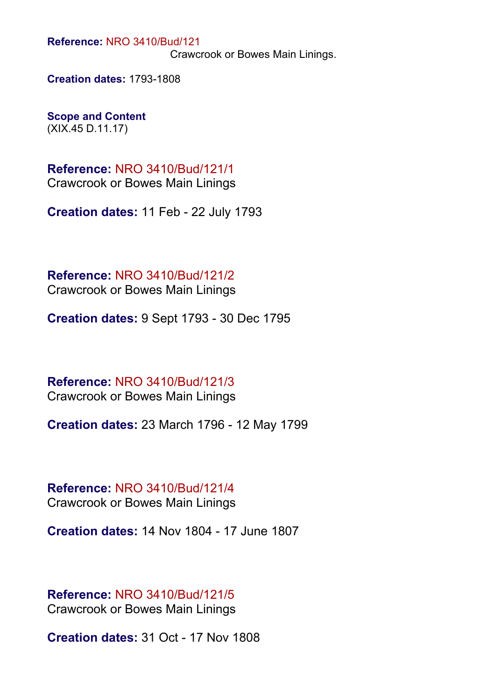Crawcrook or Bowes Main Linings.

**Creation dates:** 1793-1808

**Scope and Content** (XIX.45 D.11.17)

**Reference:** NRO 3410/Bud/121/1 Crawcrook or Bowes Main Linings

**Creation dates:** 11 Feb - 22 July 1793

**Reference:** NRO 3410/Bud/121/2 Crawcrook or Bowes Main Linings

**Creation dates:** 9 Sept 1793 - 30 Dec 1795

**Reference:** NRO 3410/Bud/121/3 Crawcrook or Bowes Main Linings

**Creation dates:** 23 March 1796 - 12 May 1799

**Reference:** NRO 3410/Bud/121/4 Crawcrook or Bowes Main Linings

**Creation dates:** 14 Nov 1804 - 17 June 1807

**Reference:** NRO 3410/Bud/121/5 Crawcrook or Bowes Main Linings

**Creation dates:** 31 Oct - 17 Nov 1808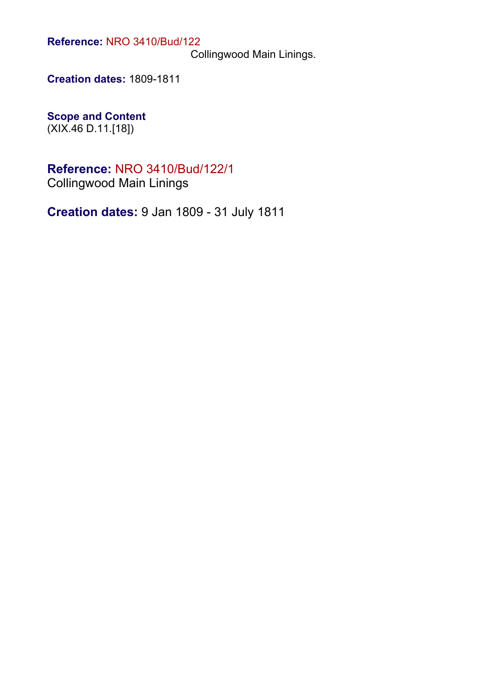Collingwood Main Linings.

**Creation dates:** 1809-1811

**Scope and Content** (XIX.46 D.11.[18])

## **Reference:** NRO 3410/Bud/122/1

Collingwood Main Linings

**Creation dates:** 9 Jan 1809 - 31 July 1811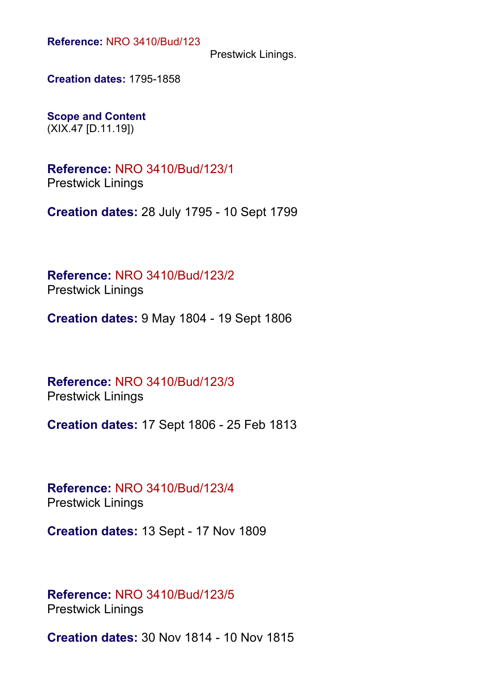Prestwick Linings.

**Creation dates:** 1795-1858

**Scope and Content** (XIX.47 [D.11.19])

**Reference:** NRO 3410/Bud/123/1 Prestwick Linings

**Creation dates:** 28 July 1795 - 10 Sept 1799

**Reference:** NRO 3410/Bud/123/2 Prestwick Linings

**Creation dates:** 9 May 1804 - 19 Sept 1806

**Reference:** NRO 3410/Bud/123/3 Prestwick Linings

**Creation dates:** 17 Sept 1806 - 25 Feb 1813

**Reference:** NRO 3410/Bud/123/4 Prestwick Linings

**Creation dates:** 13 Sept - 17 Nov 1809

#### **Reference:** NRO 3410/Bud/123/5 Prestwick Linings

**Creation dates:** 30 Nov 1814 - 10 Nov 1815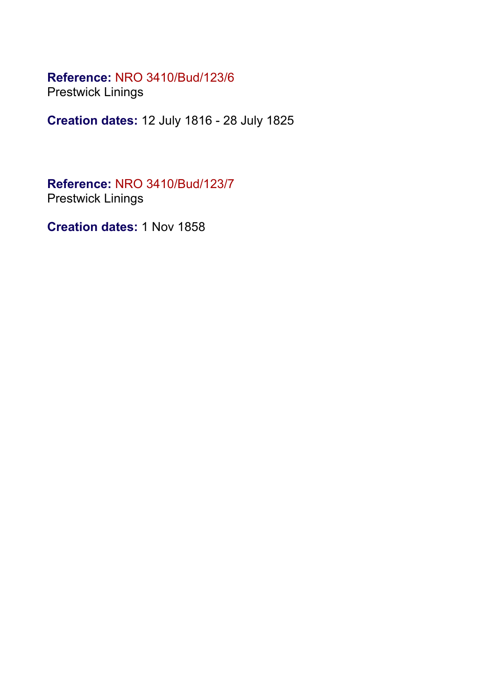Prestwick Linings

**Creation dates:** 12 July 1816 - 28 July 1825

**Reference:** NRO 3410/Bud/123/7 Prestwick Linings

**Creation dates:** 1 Nov 1858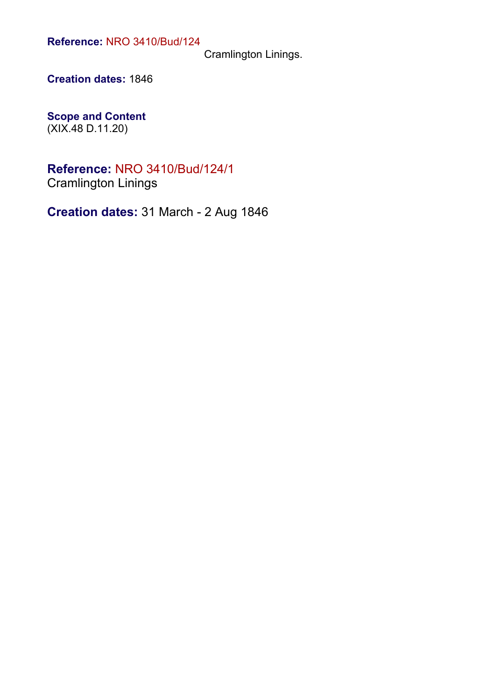Cramlington Linings.

**Creation dates:** 1846

**Scope and Content** (XIX.48 D.11.20)

**Reference:** NRO 3410/Bud/124/1 Cramlington Linings

**Creation dates:** 31 March - 2 Aug 1846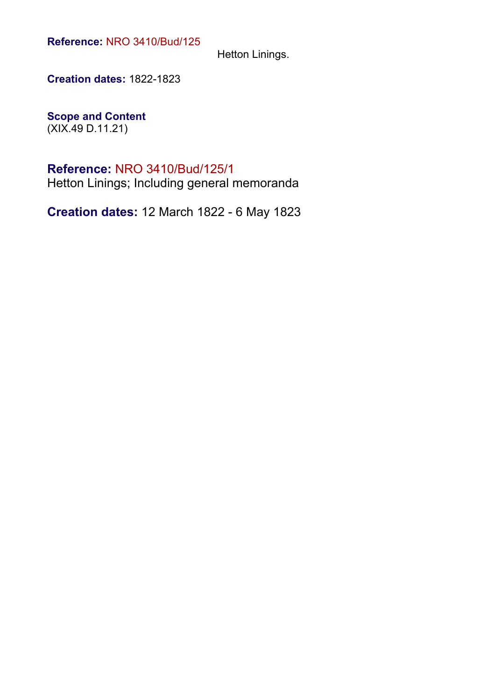Hetton Linings.

**Creation dates:** 1822-1823

**Scope and Content** (XIX.49 D.11.21)

#### **Reference:** NRO 3410/Bud/125/1

Hetton Linings; Including general memoranda

**Creation dates:** 12 March 1822 - 6 May 1823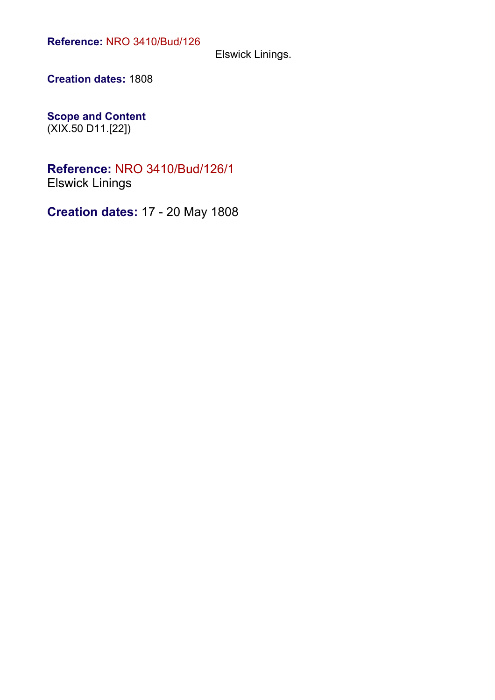Elswick Linings.

**Creation dates:** 1808

**Scope and Content** (XIX.50 D11.[22])

#### **Reference:** NRO 3410/Bud/126/1 Elswick Linings

**Creation dates:** 17 - 20 May 1808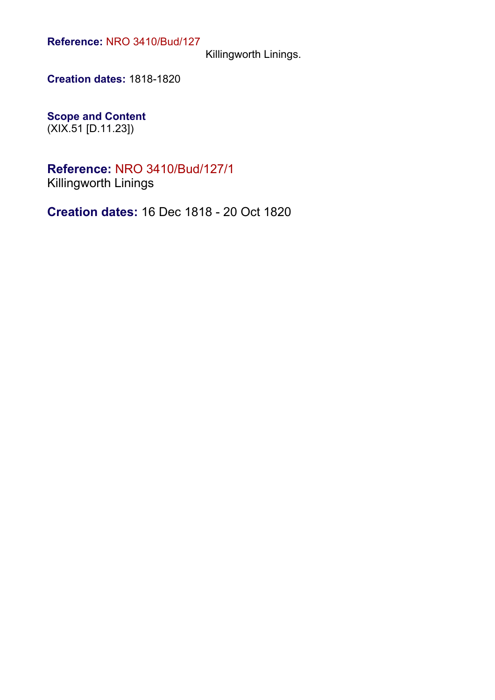Killingworth Linings.

**Creation dates:** 1818-1820

**Scope and Content** (XIX.51 [D.11.23])

**Reference:** NRO 3410/Bud/127/1 Killingworth Linings

**Creation dates:** 16 Dec 1818 - 20 Oct 1820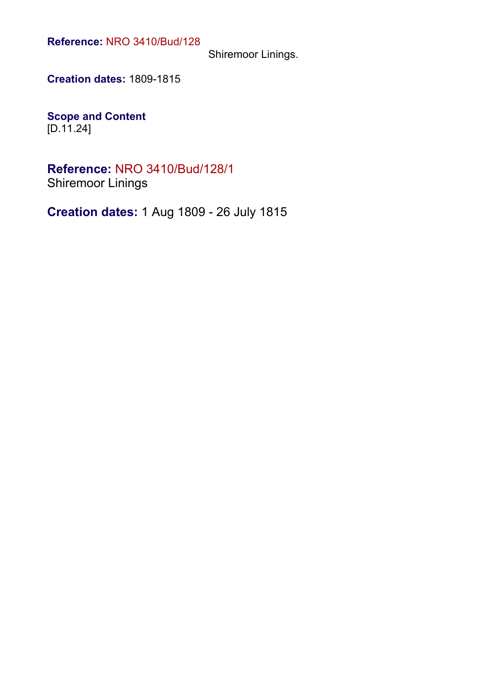Shiremoor Linings.

**Creation dates:** 1809-1815

**Scope and Content**  $[D.11.24]$ 

**Reference:** NRO 3410/Bud/128/1 Shiremoor Linings

**Creation dates:** 1 Aug 1809 - 26 July 1815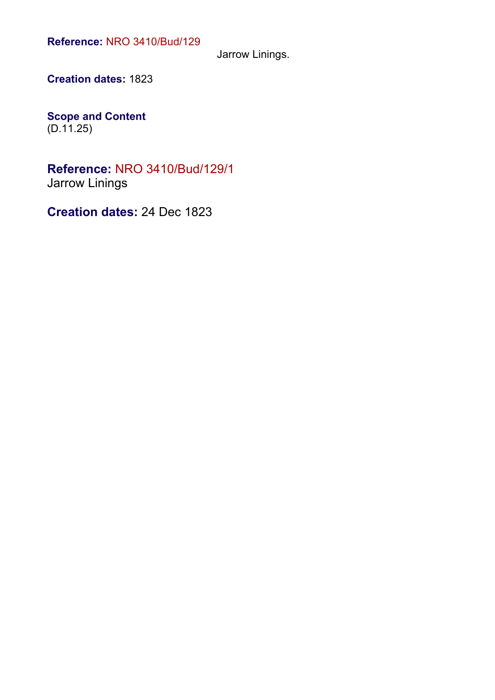Jarrow Linings.

**Creation dates:** 1823

**Scope and Content**  $(D.11.25)$ 

**Reference:** NRO 3410/Bud/129/1 Jarrow Linings

**Creation dates:** 24 Dec 1823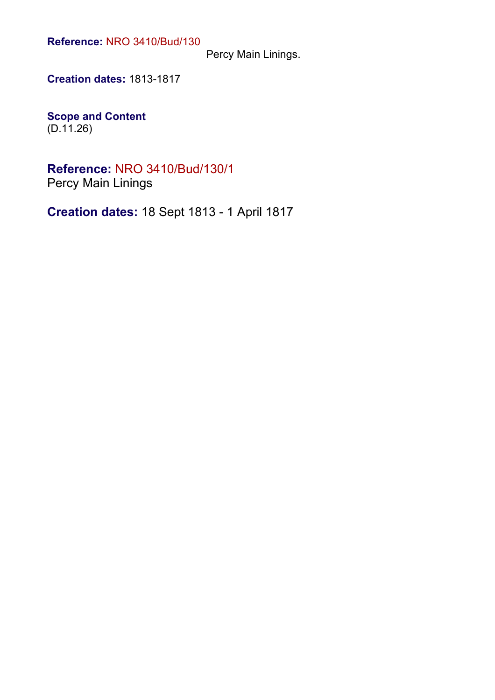Percy Main Linings.

**Creation dates:** 1813-1817

**Scope and Content** (D.11.26)

**Reference:** NRO 3410/Bud/130/1 Percy Main Linings

**Creation dates:** 18 Sept 1813 - 1 April 1817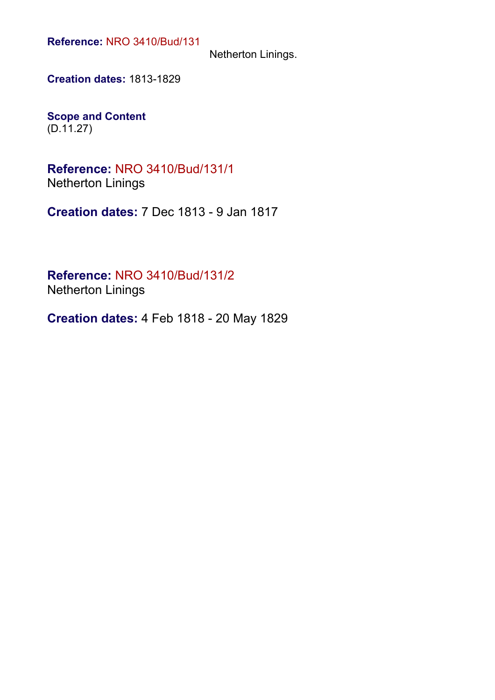Netherton Linings.

**Creation dates:** 1813-1829

**Scope and Content** (D.11.27)

**Reference:** NRO 3410/Bud/131/1 Netherton Linings

**Creation dates:** 7 Dec 1813 - 9 Jan 1817

**Reference:** NRO 3410/Bud/131/2 Netherton Linings

**Creation dates:** 4 Feb 1818 - 20 May 1829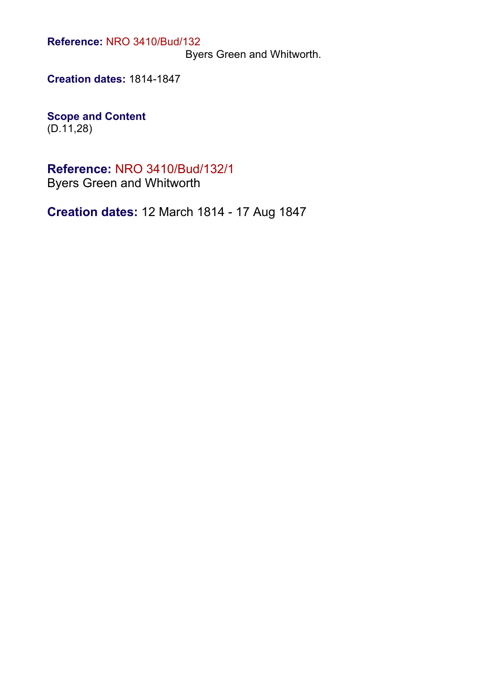Byers Green and Whitworth.

**Creation dates:** 1814-1847

**Scope and Content** (D.11,28)

**Reference:** NRO 3410/Bud/132/1

Byers Green and Whitworth

**Creation dates:** 12 March 1814 - 17 Aug 1847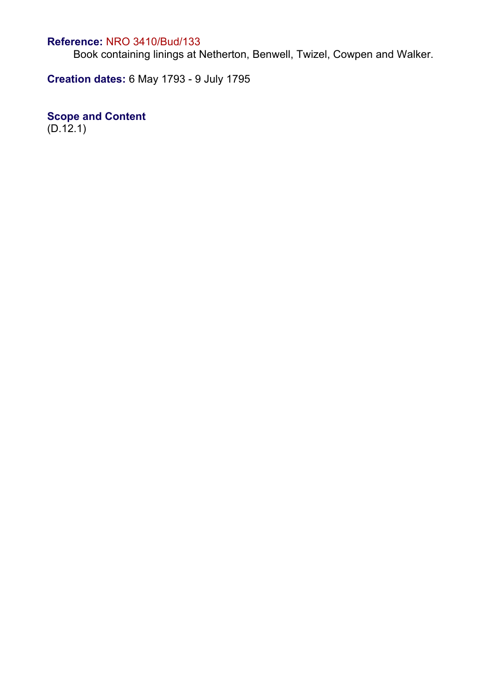Book containing linings at Netherton, Benwell, Twizel, Cowpen and Walker.

**Creation dates:** 6 May 1793 - 9 July 1795

### **Scope and Content**

 $(D.12.1)$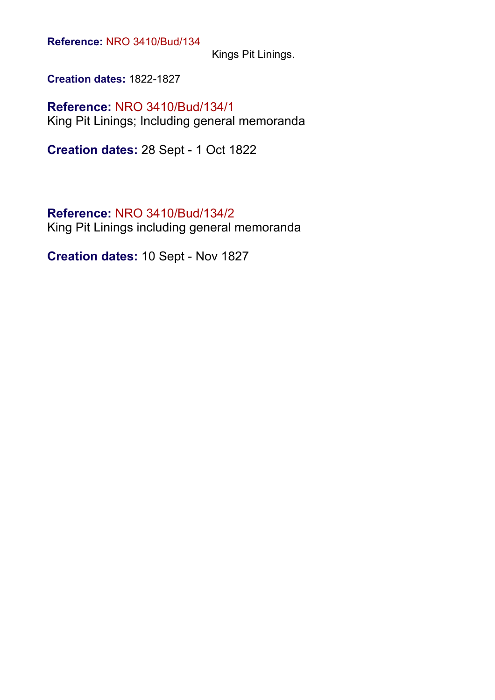Kings Pit Linings.

**Creation dates:** 1822-1827

**Reference:** NRO 3410/Bud/134/1 King Pit Linings; Including general memoranda

**Creation dates:** 28 Sept - 1 Oct 1822

#### **Reference:** NRO 3410/Bud/134/2

King Pit Linings including general memoranda

**Creation dates:** 10 Sept - Nov 1827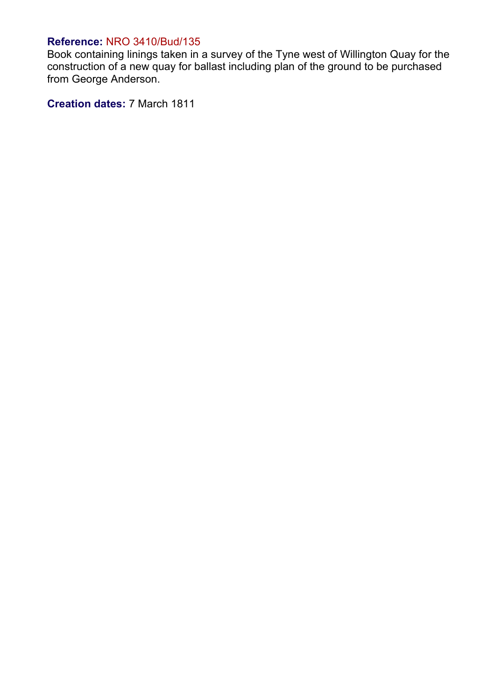Book containing linings taken in a survey of the Tyne west of Willington Quay for the construction of a new quay for ballast including plan of the ground to be purchased from George Anderson.

**Creation dates:** 7 March 1811